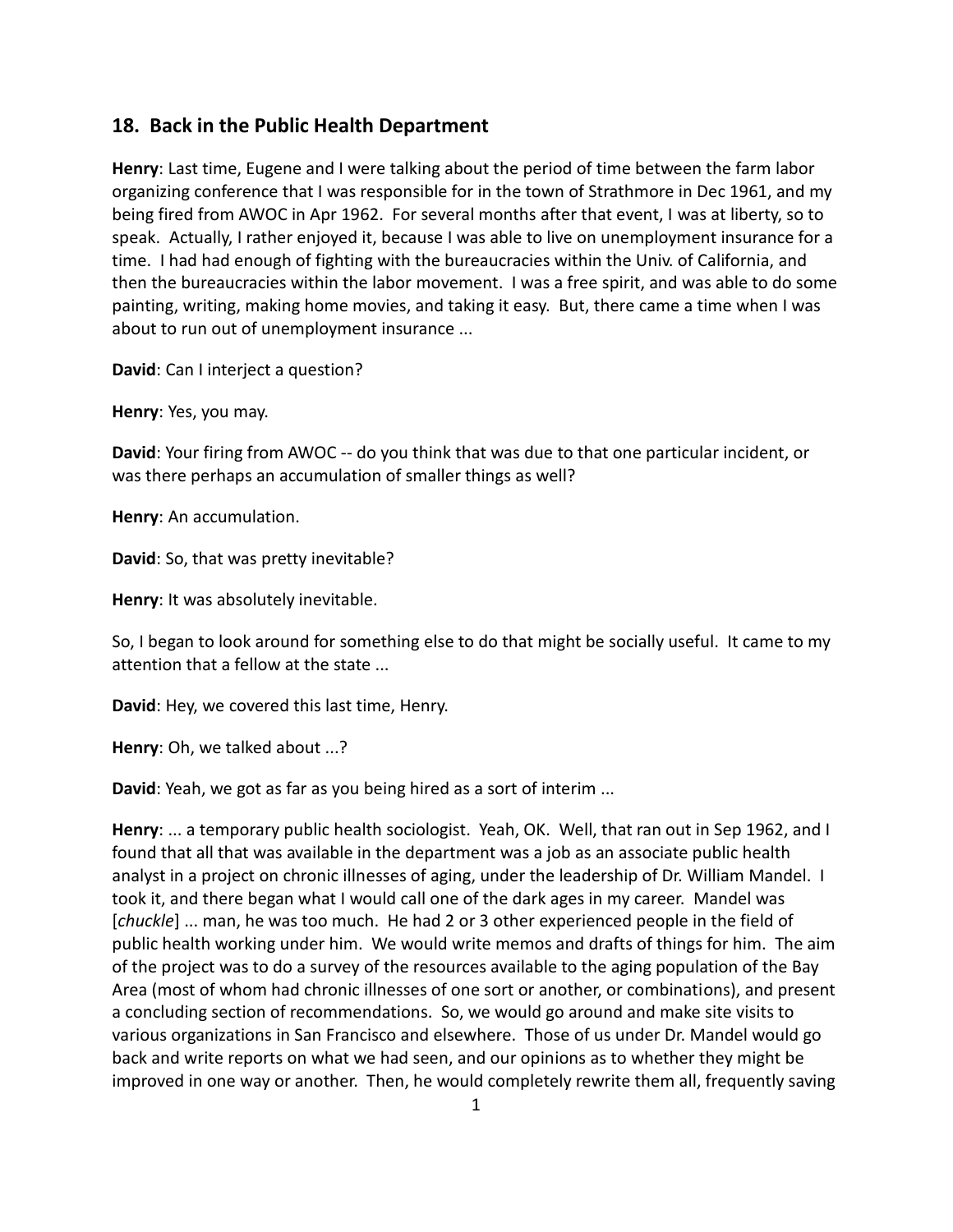## **18. Back in the Public Health Department**

**Henry**: Last time, Eugene and I were talking about the period of time between the farm labor organizing conference that I was responsible for in the town of Strathmore in Dec 1961, and my being fired from AWOC in Apr 1962. For several months after that event, I was at liberty, so to speak. Actually, I rather enjoyed it, because I was able to live on unemployment insurance for a time. I had had enough of fighting with the bureaucracies within the Univ. of California, and then the bureaucracies within the labor movement. I was a free spirit, and was able to do some painting, writing, making home movies, and taking it easy. But, there came a time when I was about to run out of unemployment insurance ...

**David**: Can I interject a question?

**Henry**: Yes, you may.

**David**: Your firing from AWOC -- do you think that was due to that one particular incident, or was there perhaps an accumulation of smaller things as well?

**Henry**: An accumulation.

**David**: So, that was pretty inevitable?

**Henry**: It was absolutely inevitable.

So, I began to look around for something else to do that might be socially useful. It came to my attention that a fellow at the state ...

**David**: Hey, we covered this last time, Henry.

**Henry**: Oh, we talked about ...?

**David**: Yeah, we got as far as you being hired as a sort of interim ...

**Henry**: ... a temporary public health sociologist. Yeah, OK. Well, that ran out in Sep 1962, and I found that all that was available in the department was a job as an associate public health analyst in a project on chronic illnesses of aging, under the leadership of Dr. William Mandel. I took it, and there began what I would call one of the dark ages in my career. Mandel was [*chuckle*] ... man, he was too much. He had 2 or 3 other experienced people in the field of public health working under him. We would write memos and drafts of things for him. The aim of the project was to do a survey of the resources available to the aging population of the Bay Area (most of whom had chronic illnesses of one sort or another, or combinations), and present a concluding section of recommendations. So, we would go around and make site visits to various organizations in San Francisco and elsewhere. Those of us under Dr. Mandel would go back and write reports on what we had seen, and our opinions as to whether they might be improved in one way or another. Then, he would completely rewrite them all, frequently saving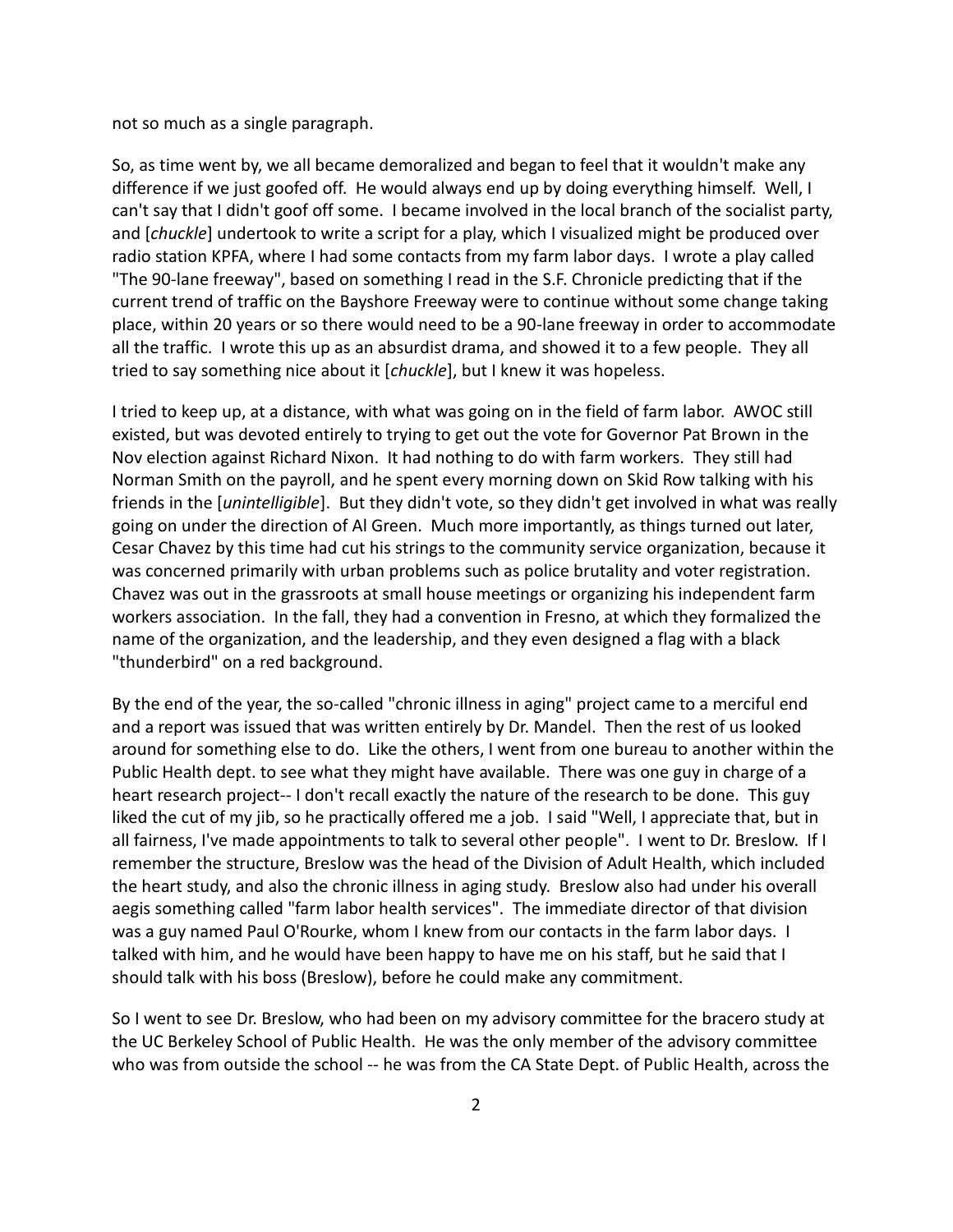not so much as a single paragraph.

So, as time went by, we all became demoralized and began to feel that it wouldn't make any difference if we just goofed off. He would always end up by doing everything himself. Well, I can't say that I didn't goof off some. I became involved in the local branch of the socialist party, and [*chuckle*] undertook to write a script for a play, which I visualized might be produced over radio station KPFA, where I had some contacts from my farm labor days. I wrote a play called "The 90-lane freeway", based on something I read in the S.F. Chronicle predicting that if the current trend of traffic on the Bayshore Freeway were to continue without some change taking place, within 20 years or so there would need to be a 90-lane freeway in order to accommodate all the traffic. I wrote this up as an absurdist drama, and showed it to a few people. They all tried to say something nice about it [*chuckle*], but I knew it was hopeless.

I tried to keep up, at a distance, with what was going on in the field of farm labor. AWOC still existed, but was devoted entirely to trying to get out the vote for Governor Pat Brown in the Nov election against Richard Nixon. It had nothing to do with farm workers. They still had Norman Smith on the payroll, and he spent every morning down on Skid Row talking with his friends in the [*unintelligible*]. But they didn't vote, so they didn't get involved in what was really going on under the direction of Al Green. Much more importantly, as things turned out later, Cesar Chavez by this time had cut his strings to the community service organization, because it was concerned primarily with urban problems such as police brutality and voter registration. Chavez was out in the grassroots at small house meetings or organizing his independent farm workers association. In the fall, they had a convention in Fresno, at which they formalized the name of the organization, and the leadership, and they even designed a flag with a black "thunderbird" on a red background.

By the end of the year, the so-called "chronic illness in aging" project came to a merciful end and a report was issued that was written entirely by Dr. Mandel. Then the rest of us looked around for something else to do. Like the others, I went from one bureau to another within the Public Health dept. to see what they might have available. There was one guy in charge of a heart research project-- I don't recall exactly the nature of the research to be done. This guy liked the cut of my jib, so he practically offered me a job. I said "Well, I appreciate that, but in all fairness, I've made appointments to talk to several other people". I went to Dr. Breslow. If I remember the structure, Breslow was the head of the Division of Adult Health, which included the heart study, and also the chronic illness in aging study. Breslow also had under his overall aegis something called "farm labor health services". The immediate director of that division was a guy named Paul O'Rourke, whom I knew from our contacts in the farm labor days. I talked with him, and he would have been happy to have me on his staff, but he said that I should talk with his boss (Breslow), before he could make any commitment.

So I went to see Dr. Breslow, who had been on my advisory committee for the bracero study at the UC Berkeley School of Public Health. He was the only member of the advisory committee who was from outside the school -- he was from the CA State Dept. of Public Health, across the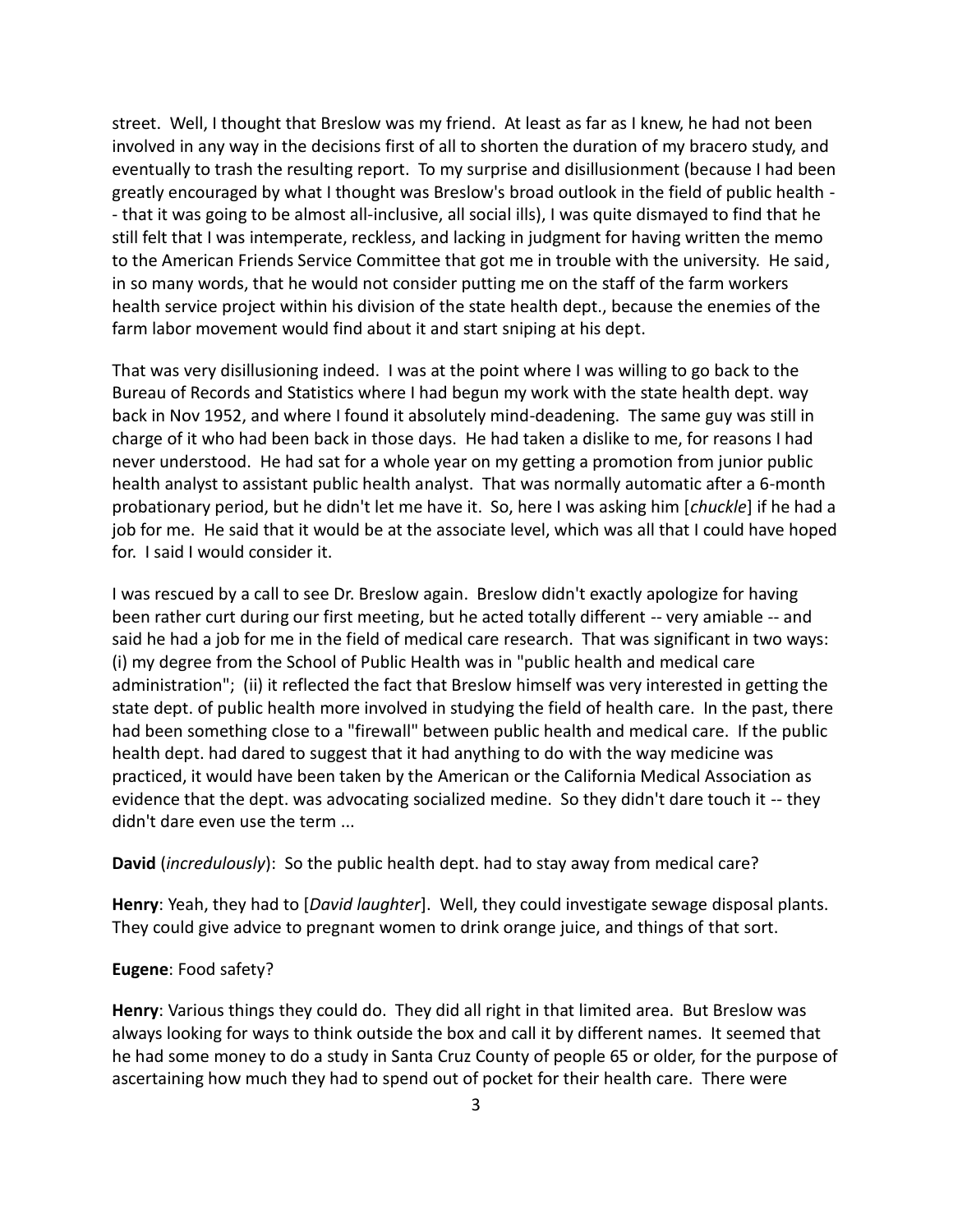street. Well, I thought that Breslow was my friend. At least as far as I knew, he had not been involved in any way in the decisions first of all to shorten the duration of my bracero study, and eventually to trash the resulting report. To my surprise and disillusionment (because I had been greatly encouraged by what I thought was Breslow's broad outlook in the field of public health - - that it was going to be almost all-inclusive, all social ills), I was quite dismayed to find that he still felt that I was intemperate, reckless, and lacking in judgment for having written the memo to the American Friends Service Committee that got me in trouble with the university. He said, in so many words, that he would not consider putting me on the staff of the farm workers health service project within his division of the state health dept., because the enemies of the farm labor movement would find about it and start sniping at his dept.

That was very disillusioning indeed. I was at the point where I was willing to go back to the Bureau of Records and Statistics where I had begun my work with the state health dept. way back in Nov 1952, and where I found it absolutely mind-deadening. The same guy was still in charge of it who had been back in those days. He had taken a dislike to me, for reasons I had never understood. He had sat for a whole year on my getting a promotion from junior public health analyst to assistant public health analyst. That was normally automatic after a 6-month probationary period, but he didn't let me have it. So, here I was asking him [*chuckle*] if he had a job for me. He said that it would be at the associate level, which was all that I could have hoped for. I said I would consider it.

I was rescued by a call to see Dr. Breslow again. Breslow didn't exactly apologize for having been rather curt during our first meeting, but he acted totally different -- very amiable -- and said he had a job for me in the field of medical care research. That was significant in two ways: (i) my degree from the School of Public Health was in "public health and medical care administration"; (ii) it reflected the fact that Breslow himself was very interested in getting the state dept. of public health more involved in studying the field of health care. In the past, there had been something close to a "firewall" between public health and medical care. If the public health dept. had dared to suggest that it had anything to do with the way medicine was practiced, it would have been taken by the American or the California Medical Association as evidence that the dept. was advocating socialized medine. So they didn't dare touch it -- they didn't dare even use the term ...

**David** (*incredulously*): So the public health dept. had to stay away from medical care?

**Henry**: Yeah, they had to [*David laughter*]. Well, they could investigate sewage disposal plants. They could give advice to pregnant women to drink orange juice, and things of that sort.

## **Eugene**: Food safety?

**Henry**: Various things they could do. They did all right in that limited area. But Breslow was always looking for ways to think outside the box and call it by different names. It seemed that he had some money to do a study in Santa Cruz County of people 65 or older, for the purpose of ascertaining how much they had to spend out of pocket for their health care. There were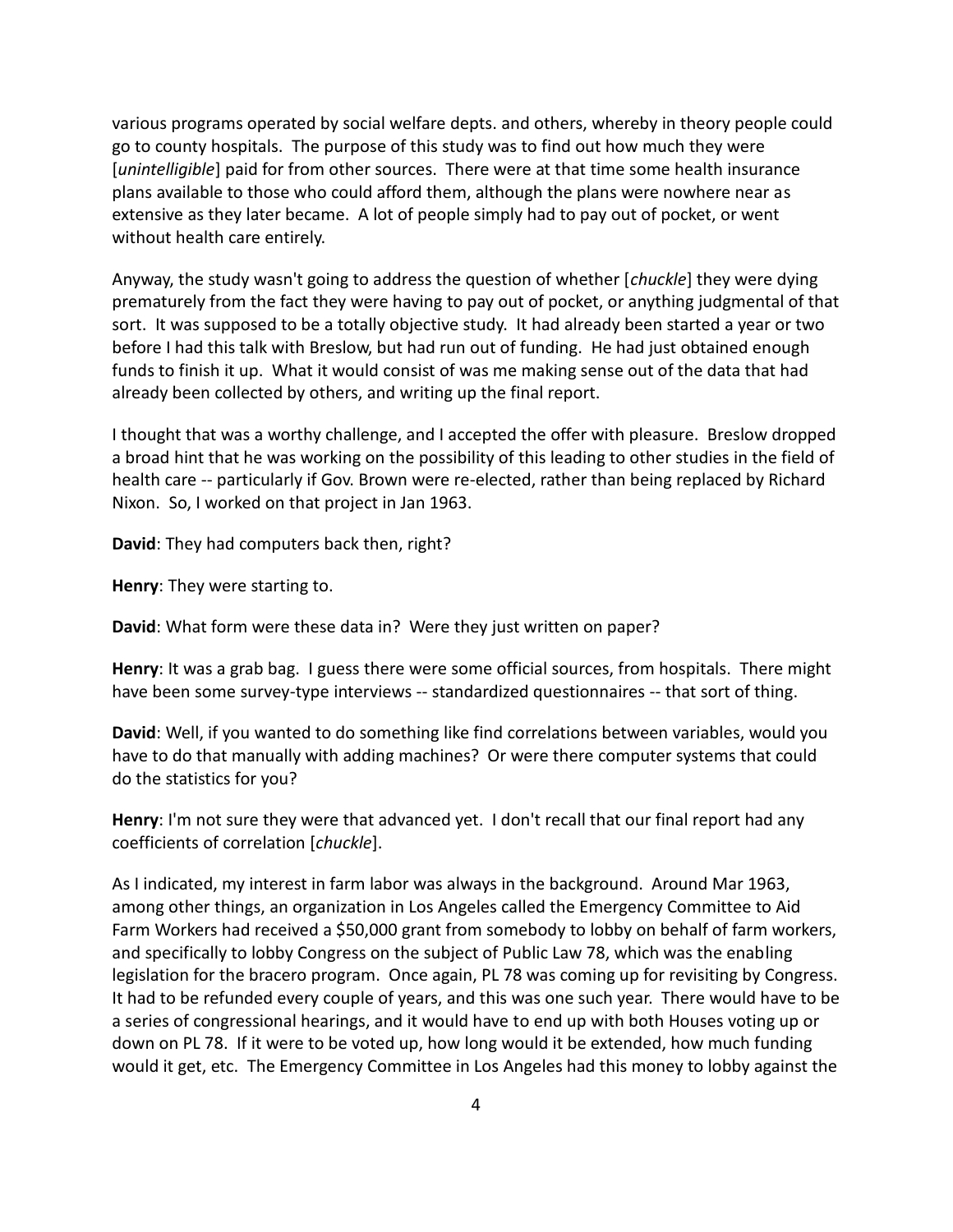various programs operated by social welfare depts. and others, whereby in theory people could go to county hospitals. The purpose of this study was to find out how much they were [*unintelligible*] paid for from other sources. There were at that time some health insurance plans available to those who could afford them, although the plans were nowhere near as extensive as they later became. A lot of people simply had to pay out of pocket, or went without health care entirely.

Anyway, the study wasn't going to address the question of whether [*chuckle*] they were dying prematurely from the fact they were having to pay out of pocket, or anything judgmental of that sort. It was supposed to be a totally objective study. It had already been started a year or two before I had this talk with Breslow, but had run out of funding. He had just obtained enough funds to finish it up. What it would consist of was me making sense out of the data that had already been collected by others, and writing up the final report.

I thought that was a worthy challenge, and I accepted the offer with pleasure. Breslow dropped a broad hint that he was working on the possibility of this leading to other studies in the field of health care -- particularly if Gov. Brown were re-elected, rather than being replaced by Richard Nixon. So, I worked on that project in Jan 1963.

**David**: They had computers back then, right?

**Henry**: They were starting to.

**David**: What form were these data in? Were they just written on paper?

**Henry**: It was a grab bag. I guess there were some official sources, from hospitals. There might have been some survey-type interviews -- standardized questionnaires -- that sort of thing.

**David**: Well, if you wanted to do something like find correlations between variables, would you have to do that manually with adding machines? Or were there computer systems that could do the statistics for you?

**Henry**: I'm not sure they were that advanced yet. I don't recall that our final report had any coefficients of correlation [*chuckle*].

As I indicated, my interest in farm labor was always in the background. Around Mar 1963, among other things, an organization in Los Angeles called the Emergency Committee to Aid Farm Workers had received a \$50,000 grant from somebody to lobby on behalf of farm workers, and specifically to lobby Congress on the subject of Public Law 78, which was the enabling legislation for the bracero program. Once again, PL 78 was coming up for revisiting by Congress. It had to be refunded every couple of years, and this was one such year. There would have to be a series of congressional hearings, and it would have to end up with both Houses voting up or down on PL 78. If it were to be voted up, how long would it be extended, how much funding would it get, etc. The Emergency Committee in Los Angeles had this money to lobby against the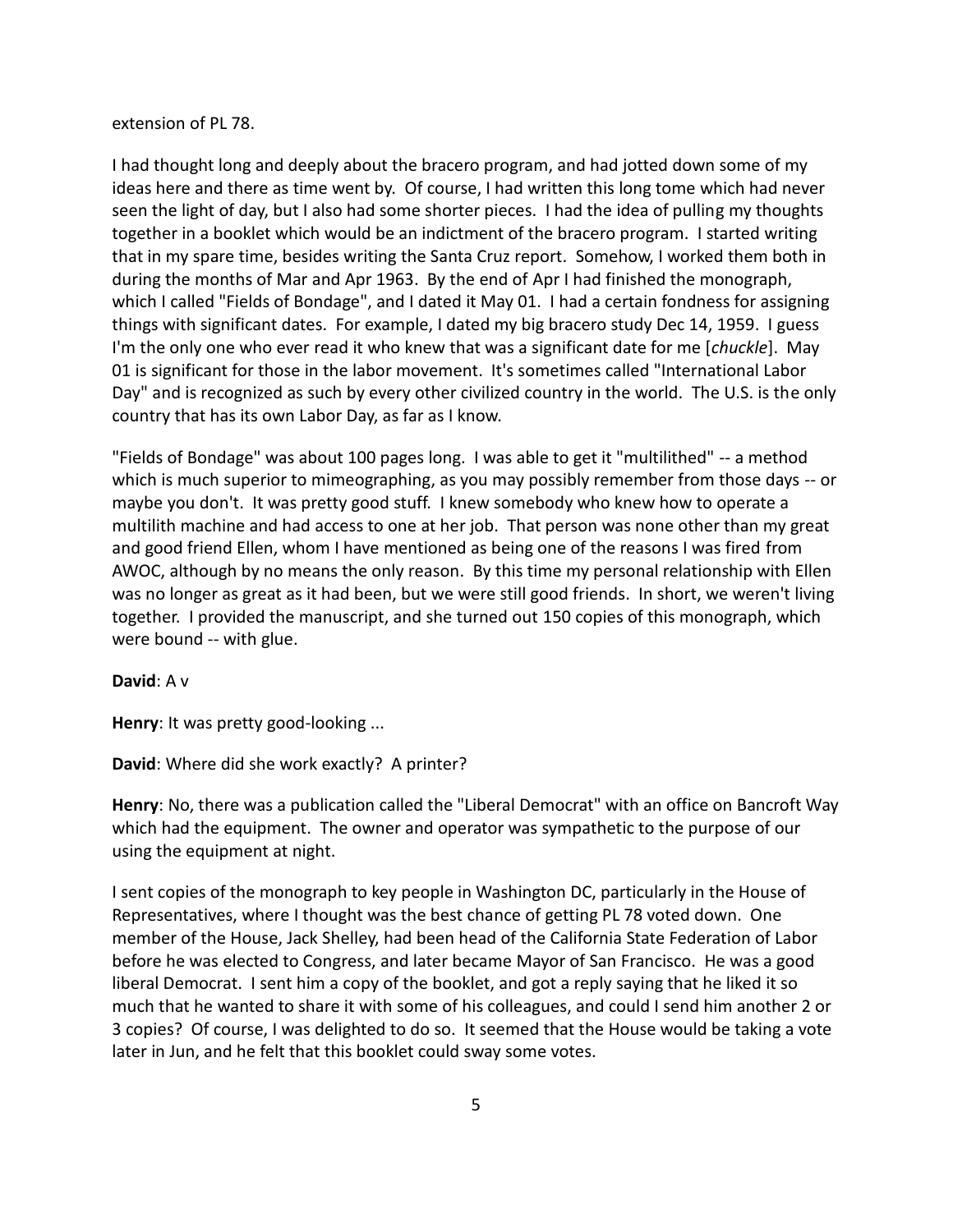## extension of PL 78.

I had thought long and deeply about the bracero program, and had jotted down some of my ideas here and there as time went by. Of course, I had written this long tome which had never seen the light of day, but I also had some shorter pieces. I had the idea of pulling my thoughts together in a booklet which would be an indictment of the bracero program. I started writing that in my spare time, besides writing the Santa Cruz report. Somehow, I worked them both in during the months of Mar and Apr 1963. By the end of Apr I had finished the monograph, which I called "Fields of Bondage", and I dated it May 01. I had a certain fondness for assigning things with significant dates. For example, I dated my big bracero study Dec 14, 1959. I guess I'm the only one who ever read it who knew that was a significant date for me [*chuckle*]. May 01 is significant for those in the labor movement. It's sometimes called "International Labor Day" and is recognized as such by every other civilized country in the world. The U.S. is the only country that has its own Labor Day, as far as I know.

"Fields of Bondage" was about 100 pages long. I was able to get it "multilithed" -- a method which is much superior to mimeographing, as you may possibly remember from those days -- or maybe you don't. It was pretty good stuff. I knew somebody who knew how to operate a multilith machine and had access to one at her job. That person was none other than my great and good friend Ellen, whom I have mentioned as being one of the reasons I was fired from AWOC, although by no means the only reason. By this time my personal relationship with Ellen was no longer as great as it had been, but we were still good friends. In short, we weren't living together. I provided the manuscript, and she turned out 150 copies of this monograph, which were bound -- with glue.

## **David**: A v

**Henry**: It was pretty good-looking ...

**David**: Where did she work exactly? A printer?

**Henry**: No, there was a publication called the "Liberal Democrat" with an office on Bancroft Way which had the equipment. The owner and operator was sympathetic to the purpose of our using the equipment at night.

I sent copies of the monograph to key people in Washington DC, particularly in the House of Representatives, where I thought was the best chance of getting PL 78 voted down. One member of the House, Jack Shelley, had been head of the California State Federation of Labor before he was elected to Congress, and later became Mayor of San Francisco. He was a good liberal Democrat. I sent him a copy of the booklet, and got a reply saying that he liked it so much that he wanted to share it with some of his colleagues, and could I send him another 2 or 3 copies? Of course, I was delighted to do so. It seemed that the House would be taking a vote later in Jun, and he felt that this booklet could sway some votes.